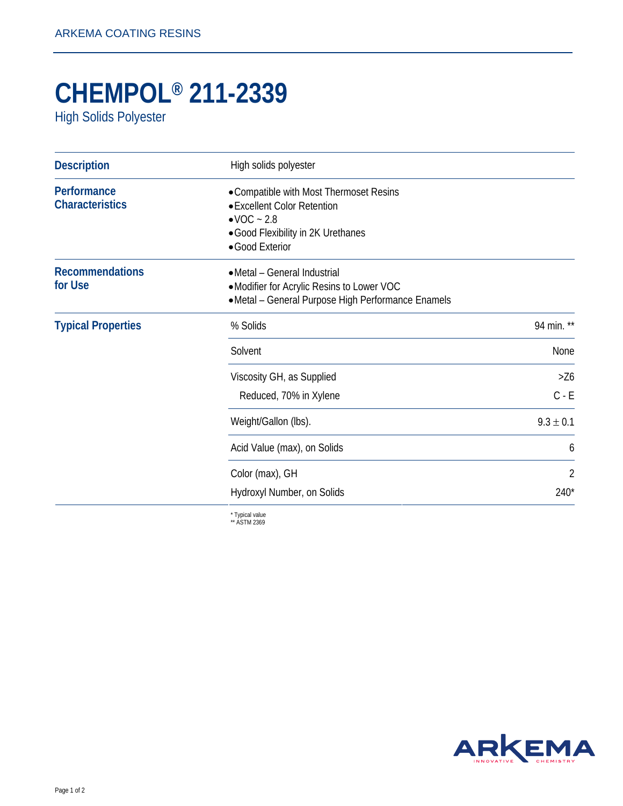## **CHEMPOL® 211-2339**

High Solids Polyester

| <b>Description</b>                    | High solids polyester                                                                                                                                      |               |
|---------------------------------------|------------------------------------------------------------------------------------------------------------------------------------------------------------|---------------|
| Performance<br><b>Characteristics</b> | • Compatible with Most Thermoset Resins<br>• Excellent Color Retention<br>$\bullet$ VOC $\sim$ 2.8<br>• Good Flexibility in 2K Urethanes<br>•Good Exterior |               |
| <b>Recommendations</b><br>for Use     | • Metal - General Industrial<br>•Modifier for Acrylic Resins to Lower VOC<br>•Metal - General Purpose High Performance Enamels                             |               |
| <b>Typical Properties</b>             | % Solids                                                                                                                                                   | 94 min. **    |
|                                       | Solvent                                                                                                                                                    | None          |
|                                       | Viscosity GH, as Supplied                                                                                                                                  | >26           |
|                                       | Reduced, 70% in Xylene                                                                                                                                     | $C - E$       |
|                                       | Weight/Gallon (lbs).                                                                                                                                       | $9.3 \pm 0.1$ |
|                                       | Acid Value (max), on Solids                                                                                                                                | 6             |
|                                       | Color (max), GH                                                                                                                                            | 2             |
|                                       | Hydroxyl Number, on Solids                                                                                                                                 | $240*$        |

\* Typical value \*\* ASTM 2369